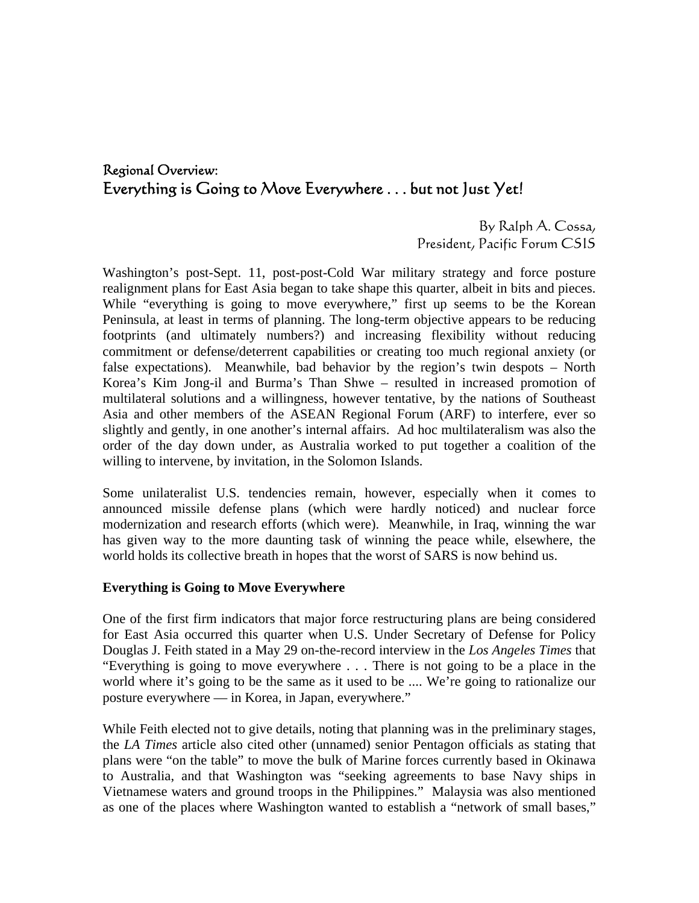# Regional Overview: Everything is Going to Move Everywhere . . . but not Just Yet!

By Ralph A. Cossa, President, Pacific Forum CSIS

Washington's post-Sept. 11, post-post-Cold War military strategy and force posture realignment plans for East Asia began to take shape this quarter, albeit in bits and pieces. While "everything is going to move everywhere," first up seems to be the Korean Peninsula, at least in terms of planning. The long-term objective appears to be reducing footprints (and ultimately numbers?) and increasing flexibility without reducing commitment or defense/deterrent capabilities or creating too much regional anxiety (or false expectations). Meanwhile, bad behavior by the region's twin despots – North Korea's Kim Jong-il and Burma's Than Shwe – resulted in increased promotion of multilateral solutions and a willingness, however tentative, by the nations of Southeast Asia and other members of the ASEAN Regional Forum (ARF) to interfere, ever so slightly and gently, in one another's internal affairs. Ad hoc multilateralism was also the order of the day down under, as Australia worked to put together a coalition of the willing to intervene, by invitation, in the Solomon Islands.

Some unilateralist U.S. tendencies remain, however, especially when it comes to announced missile defense plans (which were hardly noticed) and nuclear force modernization and research efforts (which were). Meanwhile, in Iraq, winning the war has given way to the more daunting task of winning the peace while, elsewhere, the world holds its collective breath in hopes that the worst of SARS is now behind us.

## **Everything is Going to Move Everywhere**

One of the first firm indicators that major force restructuring plans are being considered for East Asia occurred this quarter when U.S. Under Secretary of Defense for Policy Douglas J. Feith stated in a May 29 on-the-record interview in the *Los Angeles Times* that "Everything is going to move everywhere . . . There is not going to be a place in the world where it's going to be the same as it used to be .... We're going to rationalize our posture everywhere — in Korea, in Japan, everywhere."

While Feith elected not to give details, noting that planning was in the preliminary stages, the *LA Times* article also cited other (unnamed) senior Pentagon officials as stating that plans were "on the table" to move the bulk of Marine forces currently based in Okinawa to Australia, and that Washington was "seeking agreements to base Navy ships in Vietnamese waters and ground troops in the Philippines." Malaysia was also mentioned as one of the places where Washington wanted to establish a "network of small bases,"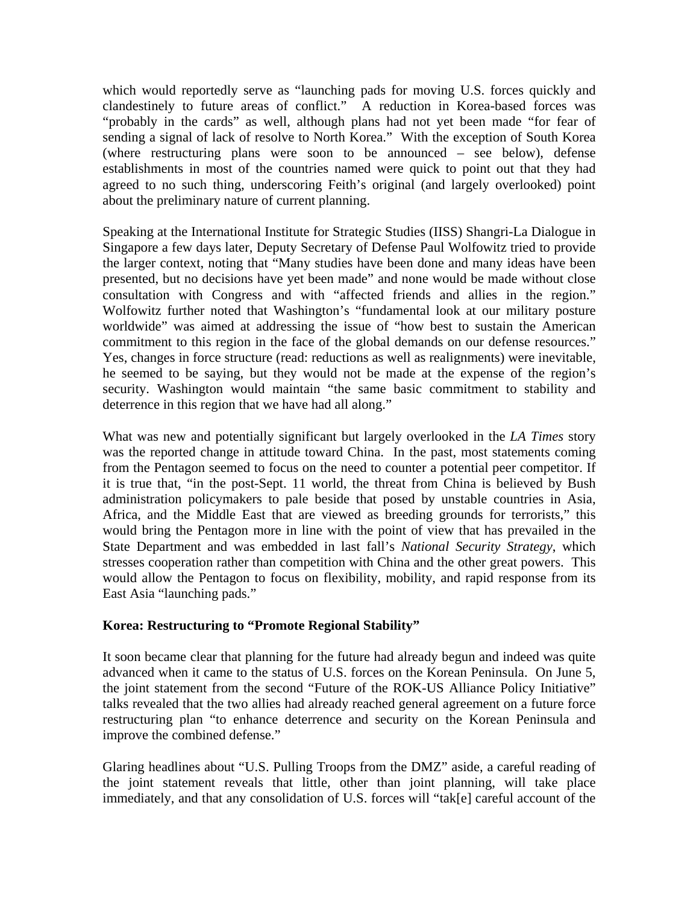which would reportedly serve as "launching pads for moving U.S. forces quickly and clandestinely to future areas of conflict." A reduction in Korea-based forces was "probably in the cards" as well, although plans had not yet been made "for fear of sending a signal of lack of resolve to North Korea." With the exception of South Korea (where restructuring plans were soon to be announced – see below), defense establishments in most of the countries named were quick to point out that they had agreed to no such thing, underscoring Feith's original (and largely overlooked) point about the preliminary nature of current planning.

Speaking at the International Institute for Strategic Studies (IISS) Shangri-La Dialogue in Singapore a few days later, Deputy Secretary of Defense Paul Wolfowitz tried to provide the larger context, noting that "Many studies have been done and many ideas have been presented, but no decisions have yet been made" and none would be made without close consultation with Congress and with "affected friends and allies in the region." Wolfowitz further noted that Washington's "fundamental look at our military posture worldwide" was aimed at addressing the issue of "how best to sustain the American commitment to this region in the face of the global demands on our defense resources." Yes, changes in force structure (read: reductions as well as realignments) were inevitable, he seemed to be saying, but they would not be made at the expense of the region's security. Washington would maintain "the same basic commitment to stability and deterrence in this region that we have had all along."

What was new and potentially significant but largely overlooked in the *LA Times* story was the reported change in attitude toward China. In the past, most statements coming from the Pentagon seemed to focus on the need to counter a potential peer competitor. If it is true that, "in the post-Sept. 11 world, the threat from China is believed by Bush administration policymakers to pale beside that posed by unstable countries in Asia, Africa, and the Middle East that are viewed as breeding grounds for terrorists," this would bring the Pentagon more in line with the point of view that has prevailed in the State Department and was embedded in last fall's *National Security Strategy*, which stresses cooperation rather than competition with China and the other great powers. This would allow the Pentagon to focus on flexibility, mobility, and rapid response from its East Asia "launching pads."

# **Korea: Restructuring to "Promote Regional Stability"**

It soon became clear that planning for the future had already begun and indeed was quite advanced when it came to the status of U.S. forces on the Korean Peninsula. On June 5, the joint statement from the second "Future of the ROK-US Alliance Policy Initiative" talks revealed that the two allies had already reached general agreement on a future force restructuring plan "to enhance deterrence and security on the Korean Peninsula and improve the combined defense."

Glaring headlines about "U.S. Pulling Troops from the DMZ" aside, a careful reading of the joint statement reveals that little, other than joint planning, will take place immediately, and that any consolidation of U.S. forces will "tak[e] careful account of the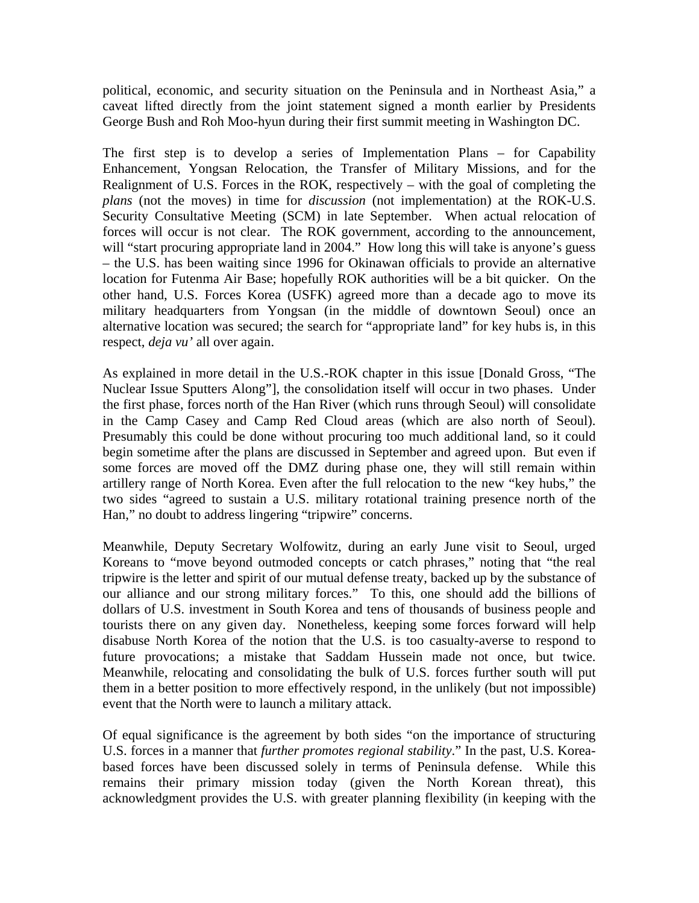political, economic, and security situation on the Peninsula and in Northeast Asia," a caveat lifted directly from the joint statement signed a month earlier by Presidents George Bush and Roh Moo-hyun during their first summit meeting in Washington DC.

The first step is to develop a series of Implementation Plans – for Capability Enhancement, Yongsan Relocation, the Transfer of Military Missions, and for the Realignment of U.S. Forces in the ROK, respectively – with the goal of completing the *plans* (not the moves) in time for *discussion* (not implementation) at the ROK-U.S. Security Consultative Meeting (SCM) in late September. When actual relocation of forces will occur is not clear. The ROK government, according to the announcement, will "start procuring appropriate land in 2004." How long this will take is anyone's guess – the U.S. has been waiting since 1996 for Okinawan officials to provide an alternative location for Futenma Air Base; hopefully ROK authorities will be a bit quicker. On the other hand, U.S. Forces Korea (USFK) agreed more than a decade ago to move its military headquarters from Yongsan (in the middle of downtown Seoul) once an alternative location was secured; the search for "appropriate land" for key hubs is, in this respect, *deja vu'* all over again.

As explained in more detail in the U.S.-ROK chapter in this issue [Donald Gross, "The Nuclear Issue Sputters Along"], the consolidation itself will occur in two phases. Under the first phase, forces north of the Han River (which runs through Seoul) will consolidate in the Camp Casey and Camp Red Cloud areas (which are also north of Seoul). Presumably this could be done without procuring too much additional land, so it could begin sometime after the plans are discussed in September and agreed upon. But even if some forces are moved off the DMZ during phase one, they will still remain within artillery range of North Korea. Even after the full relocation to the new "key hubs," the two sides "agreed to sustain a U.S. military rotational training presence north of the Han," no doubt to address lingering "tripwire" concerns.

Meanwhile, Deputy Secretary Wolfowitz, during an early June visit to Seoul, urged Koreans to "move beyond outmoded concepts or catch phrases," noting that "the real tripwire is the letter and spirit of our mutual defense treaty, backed up by the substance of our alliance and our strong military forces." To this, one should add the billions of dollars of U.S. investment in South Korea and tens of thousands of business people and tourists there on any given day. Nonetheless, keeping some forces forward will help disabuse North Korea of the notion that the U.S. is too casualty-averse to respond to future provocations; a mistake that Saddam Hussein made not once, but twice. Meanwhile, relocating and consolidating the bulk of U.S. forces further south will put them in a better position to more effectively respond, in the unlikely (but not impossible) event that the North were to launch a military attack.

Of equal significance is the agreement by both sides "on the importance of structuring U.S. forces in a manner that *further promotes regional stability*." In the past, U.S. Koreabased forces have been discussed solely in terms of Peninsula defense. While this remains their primary mission today (given the North Korean threat), this acknowledgment provides the U.S. with greater planning flexibility (in keeping with the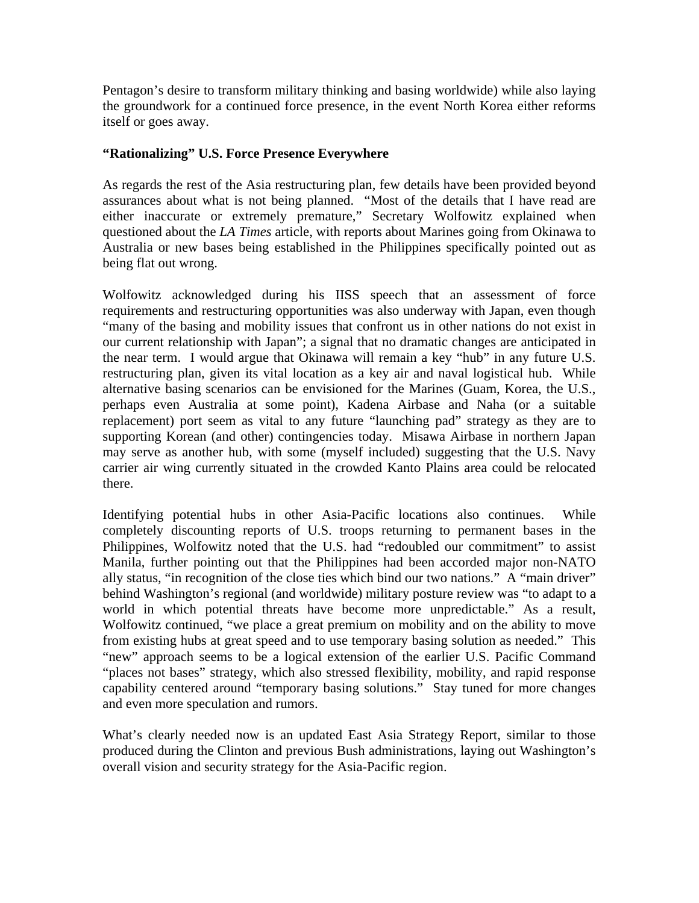Pentagon's desire to transform military thinking and basing worldwide) while also laying the groundwork for a continued force presence, in the event North Korea either reforms itself or goes away.

## **"Rationalizing" U.S. Force Presence Everywhere**

As regards the rest of the Asia restructuring plan, few details have been provided beyond assurances about what is not being planned. "Most of the details that I have read are either inaccurate or extremely premature," Secretary Wolfowitz explained when questioned about the *LA Times* article, with reports about Marines going from Okinawa to Australia or new bases being established in the Philippines specifically pointed out as being flat out wrong.

Wolfowitz acknowledged during his IISS speech that an assessment of force requirements and restructuring opportunities was also underway with Japan, even though "many of the basing and mobility issues that confront us in other nations do not exist in our current relationship with Japan"; a signal that no dramatic changes are anticipated in the near term. I would argue that Okinawa will remain a key "hub" in any future U.S. restructuring plan, given its vital location as a key air and naval logistical hub. While alternative basing scenarios can be envisioned for the Marines (Guam, Korea, the U.S., perhaps even Australia at some point), Kadena Airbase and Naha (or a suitable replacement) port seem as vital to any future "launching pad" strategy as they are to supporting Korean (and other) contingencies today. Misawa Airbase in northern Japan may serve as another hub, with some (myself included) suggesting that the U.S. Navy carrier air wing currently situated in the crowded Kanto Plains area could be relocated there.

Identifying potential hubs in other Asia-Pacific locations also continues. While completely discounting reports of U.S. troops returning to permanent bases in the Philippines, Wolfowitz noted that the U.S. had "redoubled our commitment" to assist Manila, further pointing out that the Philippines had been accorded major non-NATO ally status, "in recognition of the close ties which bind our two nations." A "main driver" behind Washington's regional (and worldwide) military posture review was "to adapt to a world in which potential threats have become more unpredictable." As a result, Wolfowitz continued, "we place a great premium on mobility and on the ability to move from existing hubs at great speed and to use temporary basing solution as needed." This "new" approach seems to be a logical extension of the earlier U.S. Pacific Command "places not bases" strategy, which also stressed flexibility, mobility, and rapid response capability centered around "temporary basing solutions." Stay tuned for more changes and even more speculation and rumors.

What's clearly needed now is an updated East Asia Strategy Report, similar to those produced during the Clinton and previous Bush administrations, laying out Washington's overall vision and security strategy for the Asia-Pacific region.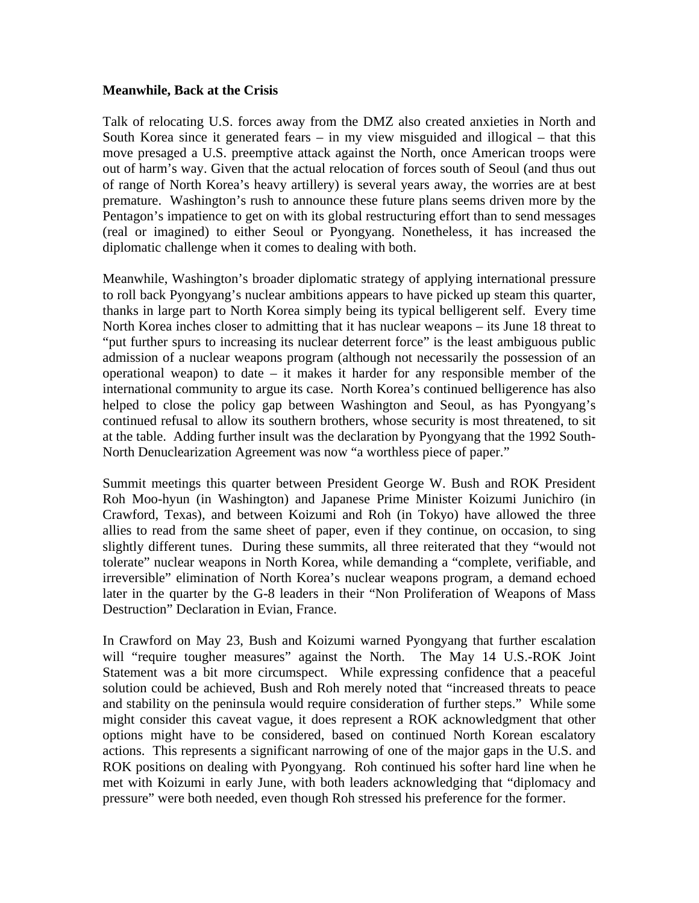## **Meanwhile, Back at the Crisis**

Talk of relocating U.S. forces away from the DMZ also created anxieties in North and South Korea since it generated fears – in my view misguided and illogical – that this move presaged a U.S. preemptive attack against the North, once American troops were out of harm's way. Given that the actual relocation of forces south of Seoul (and thus out of range of North Korea's heavy artillery) is several years away, the worries are at best premature. Washington's rush to announce these future plans seems driven more by the Pentagon's impatience to get on with its global restructuring effort than to send messages (real or imagined) to either Seoul or Pyongyang. Nonetheless, it has increased the diplomatic challenge when it comes to dealing with both.

Meanwhile, Washington's broader diplomatic strategy of applying international pressure to roll back Pyongyang's nuclear ambitions appears to have picked up steam this quarter, thanks in large part to North Korea simply being its typical belligerent self. Every time North Korea inches closer to admitting that it has nuclear weapons – its June 18 threat to "put further spurs to increasing its nuclear deterrent force" is the least ambiguous public admission of a nuclear weapons program (although not necessarily the possession of an operational weapon) to date – it makes it harder for any responsible member of the international community to argue its case. North Korea's continued belligerence has also helped to close the policy gap between Washington and Seoul, as has Pyongyang's continued refusal to allow its southern brothers, whose security is most threatened, to sit at the table. Adding further insult was the declaration by Pyongyang that the 1992 South-North Denuclearization Agreement was now "a worthless piece of paper."

Summit meetings this quarter between President George W. Bush and ROK President Roh Moo-hyun (in Washington) and Japanese Prime Minister Koizumi Junichiro (in Crawford, Texas), and between Koizumi and Roh (in Tokyo) have allowed the three allies to read from the same sheet of paper, even if they continue, on occasion, to sing slightly different tunes. During these summits, all three reiterated that they "would not tolerate" nuclear weapons in North Korea, while demanding a "complete, verifiable, and irreversible" elimination of North Korea's nuclear weapons program, a demand echoed later in the quarter by the G-8 leaders in their "Non Proliferation of Weapons of Mass Destruction" Declaration in Evian, France.

In Crawford on May 23, Bush and Koizumi warned Pyongyang that further escalation will "require tougher measures" against the North. The May 14 U.S.-ROK Joint Statement was a bit more circumspect. While expressing confidence that a peaceful solution could be achieved, Bush and Roh merely noted that "increased threats to peace and stability on the peninsula would require consideration of further steps." While some might consider this caveat vague, it does represent a ROK acknowledgment that other options might have to be considered, based on continued North Korean escalatory actions. This represents a significant narrowing of one of the major gaps in the U.S. and ROK positions on dealing with Pyongyang. Roh continued his softer hard line when he met with Koizumi in early June, with both leaders acknowledging that "diplomacy and pressure" were both needed, even though Roh stressed his preference for the former.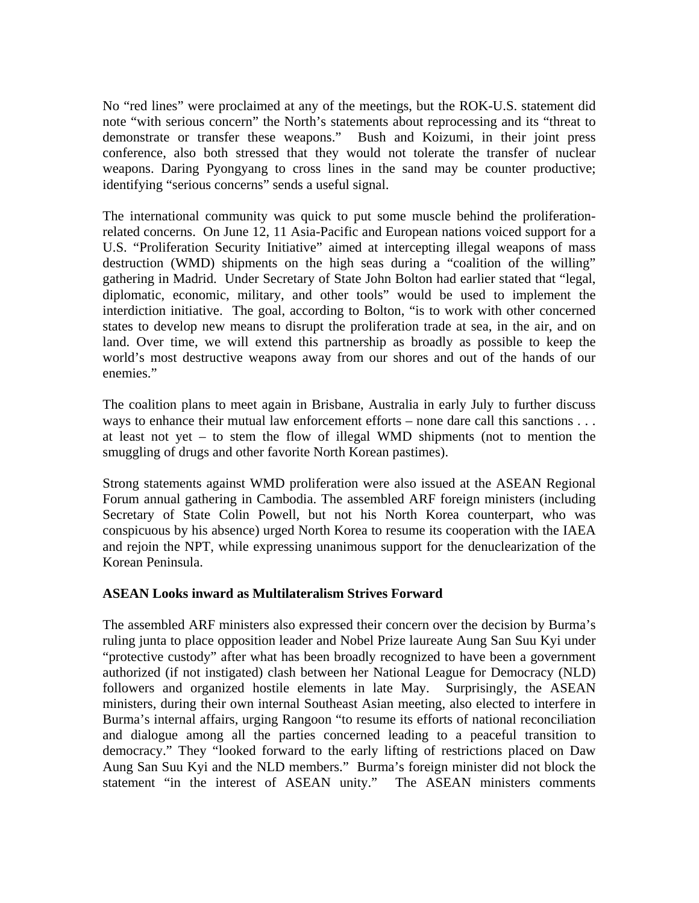No "red lines" were proclaimed at any of the meetings, but the ROK-U.S. statement did note "with serious concern" the North's statements about reprocessing and its "threat to demonstrate or transfer these weapons." Bush and Koizumi, in their joint press conference, also both stressed that they would not tolerate the transfer of nuclear weapons. Daring Pyongyang to cross lines in the sand may be counter productive; identifying "serious concerns" sends a useful signal.

The international community was quick to put some muscle behind the proliferationrelated concerns. On June 12, 11 Asia-Pacific and European nations voiced support for a U.S. "Proliferation Security Initiative" aimed at intercepting illegal weapons of mass destruction (WMD) shipments on the high seas during a "coalition of the willing" gathering in Madrid. Under Secretary of State John Bolton had earlier stated that "legal, diplomatic, economic, military, and other tools" would be used to implement the interdiction initiative. The goal, according to Bolton, "is to work with other concerned states to develop new means to disrupt the proliferation trade at sea, in the air, and on land. Over time, we will extend this partnership as broadly as possible to keep the world's most destructive weapons away from our shores and out of the hands of our enemies."

The coalition plans to meet again in Brisbane, Australia in early July to further discuss ways to enhance their mutual law enforcement efforts – none dare call this sanctions . . . at least not yet – to stem the flow of illegal WMD shipments (not to mention the smuggling of drugs and other favorite North Korean pastimes).

Strong statements against WMD proliferation were also issued at the ASEAN Regional Forum annual gathering in Cambodia. The assembled ARF foreign ministers (including Secretary of State Colin Powell, but not his North Korea counterpart, who was conspicuous by his absence) urged North Korea to resume its cooperation with the IAEA and rejoin the NPT, while expressing unanimous support for the denuclearization of the Korean Peninsula.

## **ASEAN Looks inward as Multilateralism Strives Forward**

The assembled ARF ministers also expressed their concern over the decision by Burma's ruling junta to place opposition leader and Nobel Prize laureate Aung San Suu Kyi under "protective custody" after what has been broadly recognized to have been a government authorized (if not instigated) clash between her National League for Democracy (NLD) followers and organized hostile elements in late May. Surprisingly, the ASEAN ministers, during their own internal Southeast Asian meeting, also elected to interfere in Burma's internal affairs, urging Rangoon "to resume its efforts of national reconciliation and dialogue among all the parties concerned leading to a peaceful transition to democracy." They "looked forward to the early lifting of restrictions placed on Daw Aung San Suu Kyi and the NLD members." Burma's foreign minister did not block the statement "in the interest of ASEAN unity." The ASEAN ministers comments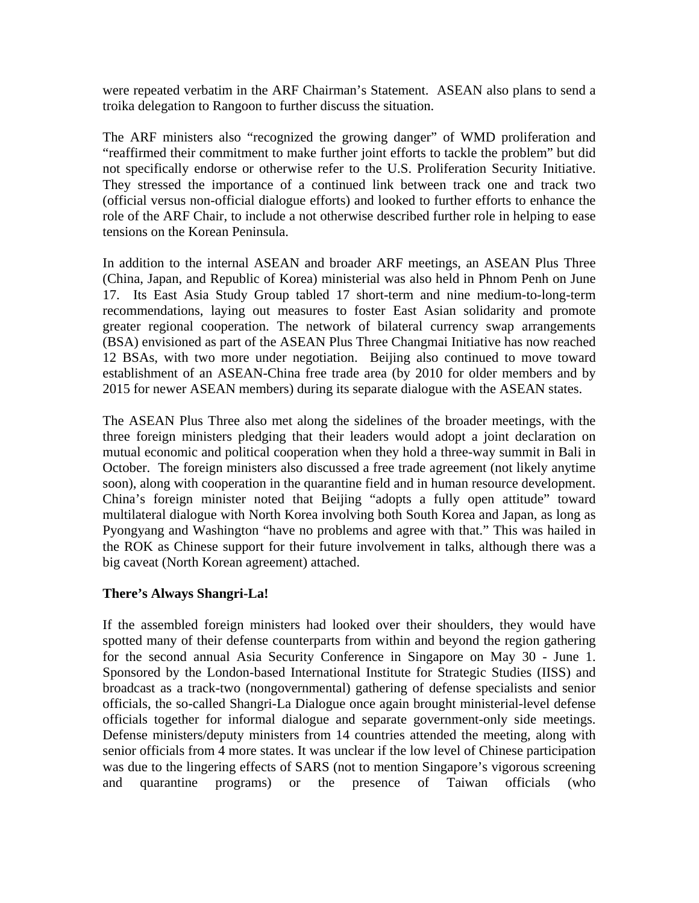were repeated verbatim in the ARF Chairman's Statement. ASEAN also plans to send a troika delegation to Rangoon to further discuss the situation.

The ARF ministers also "recognized the growing danger" of WMD proliferation and "reaffirmed their commitment to make further joint efforts to tackle the problem" but did not specifically endorse or otherwise refer to the U.S. Proliferation Security Initiative. They stressed the importance of a continued link between track one and track two (official versus non-official dialogue efforts) and looked to further efforts to enhance the role of the ARF Chair, to include a not otherwise described further role in helping to ease tensions on the Korean Peninsula.

In addition to the internal ASEAN and broader ARF meetings, an ASEAN Plus Three (China, Japan, and Republic of Korea) ministerial was also held in Phnom Penh on June 17. Its East Asia Study Group tabled 17 short-term and nine medium-to-long-term recommendations, laying out measures to foster East Asian solidarity and promote greater regional cooperation. The network of bilateral currency swap arrangements (BSA) envisioned as part of the ASEAN Plus Three Changmai Initiative has now reached 12 BSAs, with two more under negotiation. Beijing also continued to move toward establishment of an ASEAN-China free trade area (by 2010 for older members and by 2015 for newer ASEAN members) during its separate dialogue with the ASEAN states.

The ASEAN Plus Three also met along the sidelines of the broader meetings, with the three foreign ministers pledging that their leaders would adopt a joint declaration on mutual economic and political cooperation when they hold a three-way summit in Bali in October. The foreign ministers also discussed a free trade agreement (not likely anytime soon), along with cooperation in the quarantine field and in human resource development. China's foreign minister noted that Beijing "adopts a fully open attitude" toward multilateral dialogue with North Korea involving both South Korea and Japan, as long as Pyongyang and Washington "have no problems and agree with that." This was hailed in the ROK as Chinese support for their future involvement in talks, although there was a big caveat (North Korean agreement) attached.

## **There's Always Shangri-La!**

If the assembled foreign ministers had looked over their shoulders, they would have spotted many of their defense counterparts from within and beyond the region gathering for the second annual Asia Security Conference in Singapore on May 30 - June 1. Sponsored by the London-based International Institute for Strategic Studies (IISS) and broadcast as a track-two (nongovernmental) gathering of defense specialists and senior officials, the so-called Shangri-La Dialogue once again brought ministerial-level defense officials together for informal dialogue and separate government-only side meetings. Defense ministers/deputy ministers from 14 countries attended the meeting, along with senior officials from 4 more states. It was unclear if the low level of Chinese participation was due to the lingering effects of SARS (not to mention Singapore's vigorous screening and quarantine programs) or the presence of Taiwan officials (who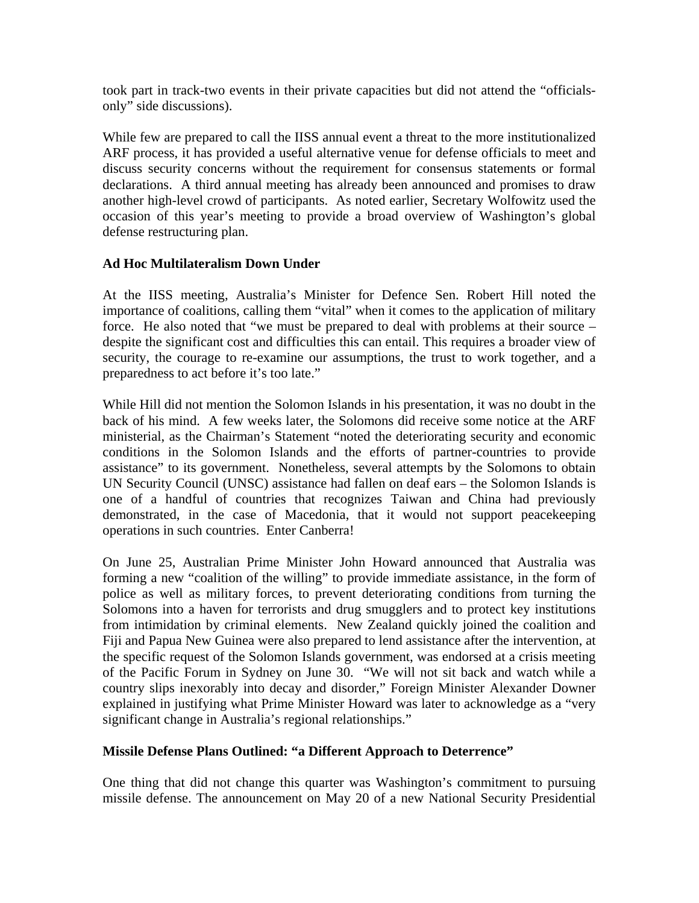took part in track-two events in their private capacities but did not attend the "officialsonly" side discussions).

While few are prepared to call the IISS annual event a threat to the more institutionalized ARF process, it has provided a useful alternative venue for defense officials to meet and discuss security concerns without the requirement for consensus statements or formal declarations. A third annual meeting has already been announced and promises to draw another high-level crowd of participants. As noted earlier, Secretary Wolfowitz used the occasion of this year's meeting to provide a broad overview of Washington's global defense restructuring plan.

## **Ad Hoc Multilateralism Down Under**

At the IISS meeting, Australia's Minister for Defence Sen. Robert Hill noted the importance of coalitions, calling them "vital" when it comes to the application of military force. He also noted that "we must be prepared to deal with problems at their source – despite the significant cost and difficulties this can entail. This requires a broader view of security, the courage to re-examine our assumptions, the trust to work together, and a preparedness to act before it's too late."

While Hill did not mention the Solomon Islands in his presentation, it was no doubt in the back of his mind. A few weeks later, the Solomons did receive some notice at the ARF ministerial, as the Chairman's Statement "noted the deteriorating security and economic conditions in the Solomon Islands and the efforts of partner-countries to provide assistance" to its government. Nonetheless, several attempts by the Solomons to obtain UN Security Council (UNSC) assistance had fallen on deaf ears – the Solomon Islands is one of a handful of countries that recognizes Taiwan and China had previously demonstrated, in the case of Macedonia, that it would not support peacekeeping operations in such countries. Enter Canberra!

On June 25, Australian Prime Minister John Howard announced that Australia was forming a new "coalition of the willing" to provide immediate assistance, in the form of police as well as military forces, to prevent deteriorating conditions from turning the Solomons into a haven for terrorists and drug smugglers and to protect key institutions from intimidation by criminal elements. New Zealand quickly joined the coalition and Fiji and Papua New Guinea were also prepared to lend assistance after the intervention, at the specific request of the Solomon Islands government, was endorsed at a crisis meeting of the Pacific Forum in Sydney on June 30. "We will not sit back and watch while a country slips inexorably into decay and disorder," Foreign Minister Alexander Downer explained in justifying what Prime Minister Howard was later to acknowledge as a "very significant change in Australia's regional relationships."

# **Missile Defense Plans Outlined: "a Different Approach to Deterrence"**

One thing that did not change this quarter was Washington's commitment to pursuing missile defense. The announcement on May 20 of a new National Security Presidential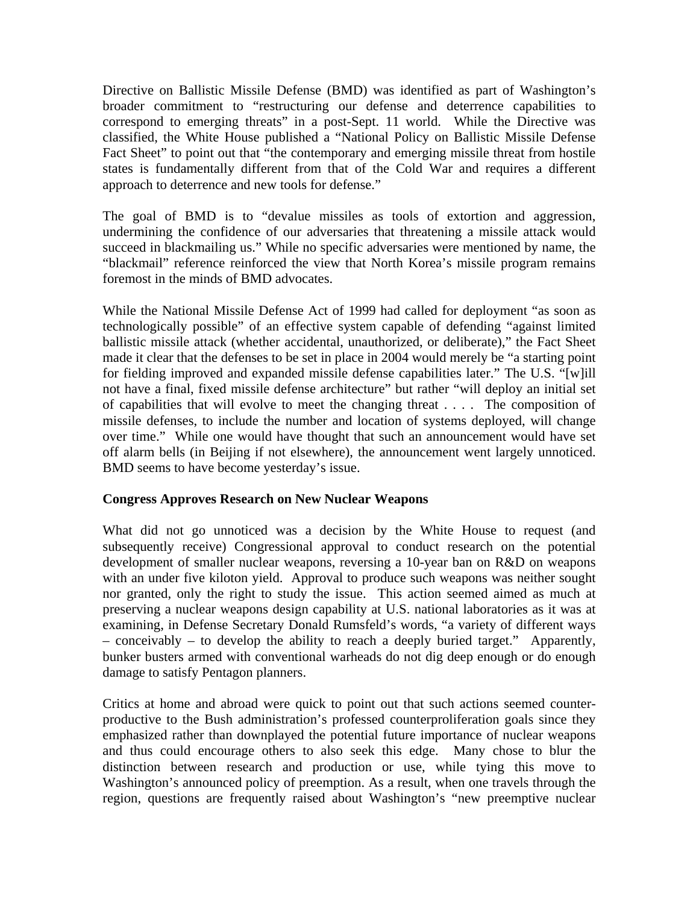Directive on Ballistic Missile Defense (BMD) was identified as part of Washington's broader commitment to "restructuring our defense and deterrence capabilities to correspond to emerging threats" in a post-Sept. 11 world. While the Directive was classified, the White House published a "National Policy on Ballistic Missile Defense Fact Sheet" to point out that "the contemporary and emerging missile threat from hostile states is fundamentally different from that of the Cold War and requires a different approach to deterrence and new tools for defense."

The goal of BMD is to "devalue missiles as tools of extortion and aggression, undermining the confidence of our adversaries that threatening a missile attack would succeed in blackmailing us." While no specific adversaries were mentioned by name, the "blackmail" reference reinforced the view that North Korea's missile program remains foremost in the minds of BMD advocates.

While the National Missile Defense Act of 1999 had called for deployment "as soon as technologically possible" of an effective system capable of defending "against limited ballistic missile attack (whether accidental, unauthorized, or deliberate)," the Fact Sheet made it clear that the defenses to be set in place in 2004 would merely be "a starting point for fielding improved and expanded missile defense capabilities later." The U.S. "[w]ill not have a final, fixed missile defense architecture" but rather "will deploy an initial set of capabilities that will evolve to meet the changing threat . . . . The composition of missile defenses, to include the number and location of systems deployed, will change over time." While one would have thought that such an announcement would have set off alarm bells (in Beijing if not elsewhere), the announcement went largely unnoticed. BMD seems to have become yesterday's issue.

## **Congress Approves Research on New Nuclear Weapons**

What did not go unnoticed was a decision by the White House to request (and subsequently receive) Congressional approval to conduct research on the potential development of smaller nuclear weapons, reversing a 10-year ban on R&D on weapons with an under five kiloton yield. Approval to produce such weapons was neither sought nor granted, only the right to study the issue. This action seemed aimed as much at preserving a nuclear weapons design capability at U.S. national laboratories as it was at examining, in Defense Secretary Donald Rumsfeld's words, "a variety of different ways – conceivably – to develop the ability to reach a deeply buried target." Apparently, bunker busters armed with conventional warheads do not dig deep enough or do enough damage to satisfy Pentagon planners.

Critics at home and abroad were quick to point out that such actions seemed counterproductive to the Bush administration's professed counterproliferation goals since they emphasized rather than downplayed the potential future importance of nuclear weapons and thus could encourage others to also seek this edge. Many chose to blur the distinction between research and production or use, while tying this move to Washington's announced policy of preemption. As a result, when one travels through the region, questions are frequently raised about Washington's "new preemptive nuclear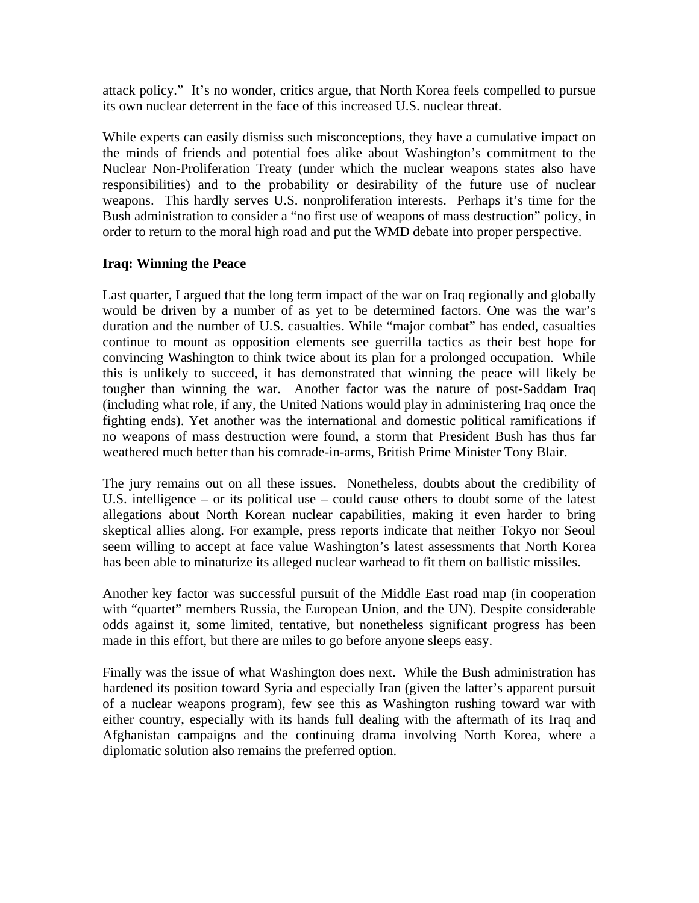attack policy." It's no wonder, critics argue, that North Korea feels compelled to pursue its own nuclear deterrent in the face of this increased U.S. nuclear threat.

While experts can easily dismiss such misconceptions, they have a cumulative impact on the minds of friends and potential foes alike about Washington's commitment to the Nuclear Non-Proliferation Treaty (under which the nuclear weapons states also have responsibilities) and to the probability or desirability of the future use of nuclear weapons. This hardly serves U.S. nonproliferation interests. Perhaps it's time for the Bush administration to consider a "no first use of weapons of mass destruction" policy, in order to return to the moral high road and put the WMD debate into proper perspective.

## **Iraq: Winning the Peace**

Last quarter, I argued that the long term impact of the war on Iraq regionally and globally would be driven by a number of as yet to be determined factors. One was the war's duration and the number of U.S. casualties. While "major combat" has ended, casualties continue to mount as opposition elements see guerrilla tactics as their best hope for convincing Washington to think twice about its plan for a prolonged occupation. While this is unlikely to succeed, it has demonstrated that winning the peace will likely be tougher than winning the war. Another factor was the nature of post-Saddam Iraq (including what role, if any, the United Nations would play in administering Iraq once the fighting ends). Yet another was the international and domestic political ramifications if no weapons of mass destruction were found, a storm that President Bush has thus far weathered much better than his comrade-in-arms, British Prime Minister Tony Blair.

The jury remains out on all these issues. Nonetheless, doubts about the credibility of U.S. intelligence – or its political use – could cause others to doubt some of the latest allegations about North Korean nuclear capabilities, making it even harder to bring skeptical allies along. For example, press reports indicate that neither Tokyo nor Seoul seem willing to accept at face value Washington's latest assessments that North Korea has been able to minaturize its alleged nuclear warhead to fit them on ballistic missiles.

Another key factor was successful pursuit of the Middle East road map (in cooperation with "quartet" members Russia, the European Union, and the UN). Despite considerable odds against it, some limited, tentative, but nonetheless significant progress has been made in this effort, but there are miles to go before anyone sleeps easy.

Finally was the issue of what Washington does next. While the Bush administration has hardened its position toward Syria and especially Iran (given the latter's apparent pursuit of a nuclear weapons program), few see this as Washington rushing toward war with either country, especially with its hands full dealing with the aftermath of its Iraq and Afghanistan campaigns and the continuing drama involving North Korea, where a diplomatic solution also remains the preferred option.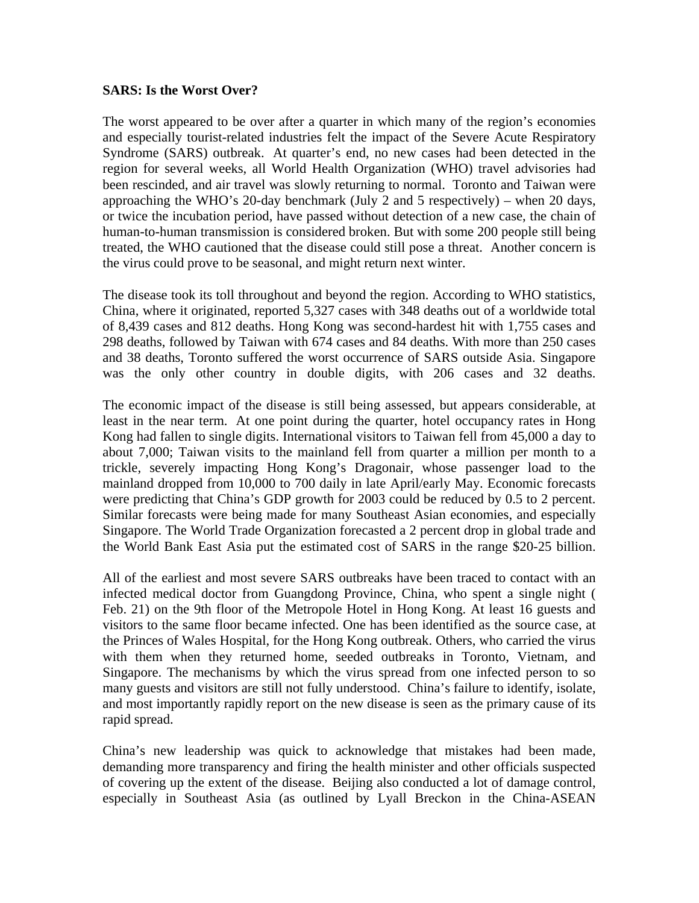## **SARS: Is the Worst Over?**

The worst appeared to be over after a quarter in which many of the region's economies and especially tourist-related industries felt the impact of the Severe Acute Respiratory Syndrome (SARS) outbreak. At quarter's end, no new cases had been detected in the region for several weeks, all World Health Organization (WHO) travel advisories had been rescinded, and air travel was slowly returning to normal. Toronto and Taiwan were approaching the WHO's 20-day benchmark (July 2 and 5 respectively) – when 20 days, or twice the incubation period, have passed without detection of a new case, the chain of human-to-human transmission is considered broken. But with some 200 people still being treated, the WHO cautioned that the disease could still pose a threat. Another concern is the virus could prove to be seasonal, and might return next winter.

The disease took its toll throughout and beyond the region. According to WHO statistics, China, where it originated, reported 5,327 cases with 348 deaths out of a worldwide total of 8,439 cases and 812 deaths. Hong Kong was second-hardest hit with 1,755 cases and 298 deaths, followed by Taiwan with 674 cases and 84 deaths. With more than 250 cases and 38 deaths, Toronto suffered the worst occurrence of SARS outside Asia. Singapore was the only other country in double digits, with 206 cases and 32 deaths.

The economic impact of the disease is still being assessed, but appears considerable, at least in the near term. At one point during the quarter, hotel occupancy rates in Hong Kong had fallen to single digits. International visitors to Taiwan fell from 45,000 a day to about 7,000; Taiwan visits to the mainland fell from quarter a million per month to a trickle, severely impacting Hong Kong's Dragonair, whose passenger load to the mainland dropped from 10,000 to 700 daily in late April/early May. Economic forecasts were predicting that China's GDP growth for 2003 could be reduced by 0.5 to 2 percent. Similar forecasts were being made for many Southeast Asian economies, and especially Singapore. The World Trade Organization forecasted a 2 percent drop in global trade and the World Bank East Asia put the estimated cost of SARS in the range \$20-25 billion.

All of the earliest and most severe SARS outbreaks have been traced to contact with an infected medical doctor from Guangdong Province, China, who spent a single night ( Feb. 21) on the 9th floor of the Metropole Hotel in Hong Kong. At least 16 guests and visitors to the same floor became infected. One has been identified as the source case, at the Princes of Wales Hospital, for the Hong Kong outbreak. Others, who carried the virus with them when they returned home, seeded outbreaks in Toronto, Vietnam, and Singapore. The mechanisms by which the virus spread from one infected person to so many guests and visitors are still not fully understood. China's failure to identify, isolate, and most importantly rapidly report on the new disease is seen as the primary cause of its rapid spread.

China's new leadership was quick to acknowledge that mistakes had been made, demanding more transparency and firing the health minister and other officials suspected of covering up the extent of the disease. Beijing also conducted a lot of damage control, especially in Southeast Asia (as outlined by Lyall Breckon in the China-ASEAN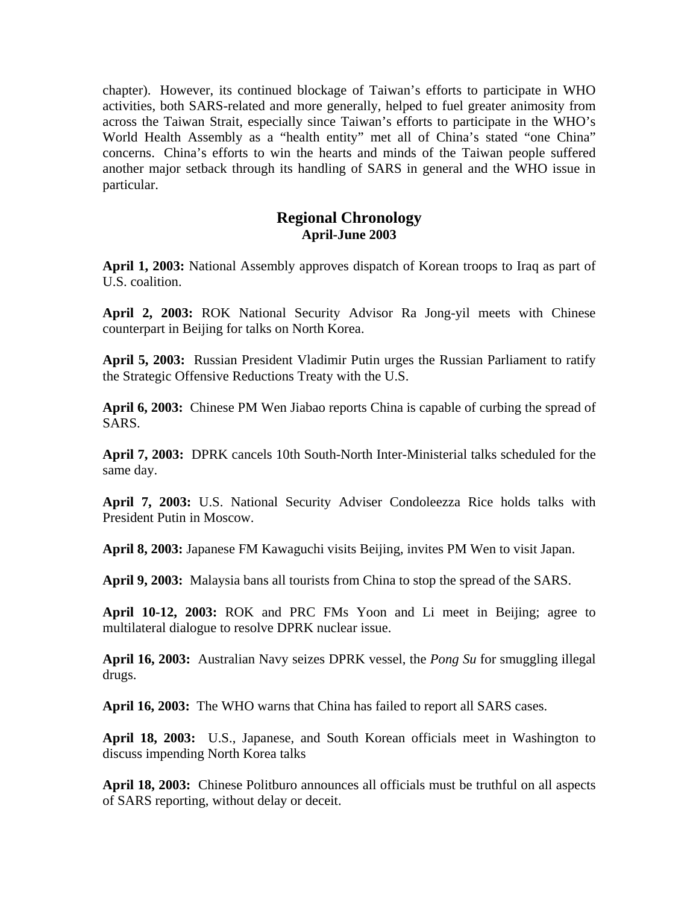chapter). However, its continued blockage of Taiwan's efforts to participate in WHO activities, both SARS-related and more generally, helped to fuel greater animosity from across the Taiwan Strait, especially since Taiwan's efforts to participate in the WHO's World Health Assembly as a "health entity" met all of China's stated "one China" concerns. China's efforts to win the hearts and minds of the Taiwan people suffered another major setback through its handling of SARS in general and the WHO issue in particular.

# **Regional Chronology April-June 2003**

**April 1, 2003:** National Assembly approves dispatch of Korean troops to Iraq as part of U.S. coalition.

**April 2, 2003:** ROK National Security Advisor Ra Jong-yil meets with Chinese counterpart in Beijing for talks on North Korea.

**April 5, 2003:** Russian President Vladimir Putin urges the Russian Parliament to ratify the Strategic Offensive Reductions Treaty with the U.S.

**April 6, 2003:** Chinese PM Wen Jiabao reports China is capable of curbing the spread of SARS.

**April 7, 2003:** DPRK cancels 10th South-North Inter-Ministerial talks scheduled for the same day.

**April 7, 2003:** U.S. National Security Adviser Condoleezza Rice holds talks with President Putin in Moscow.

**April 8, 2003:** Japanese FM Kawaguchi visits Beijing, invites PM Wen to visit Japan.

**April 9, 2003:** Malaysia bans all tourists from China to stop the spread of the SARS.

**April 10-12, 2003:** ROK and PRC FMs Yoon and Li meet in Beijing; agree to multilateral dialogue to resolve DPRK nuclear issue.

**April 16, 2003:** Australian Navy seizes DPRK vessel, the *Pong Su* for smuggling illegal drugs.

**April 16, 2003:** The WHO warns that China has failed to report all SARS cases.

**April 18, 2003:** U.S., Japanese, and South Korean officials meet in Washington to discuss impending North Korea talks

**April 18, 2003:** Chinese Politburo announces all officials must be truthful on all aspects of SARS reporting, without delay or deceit.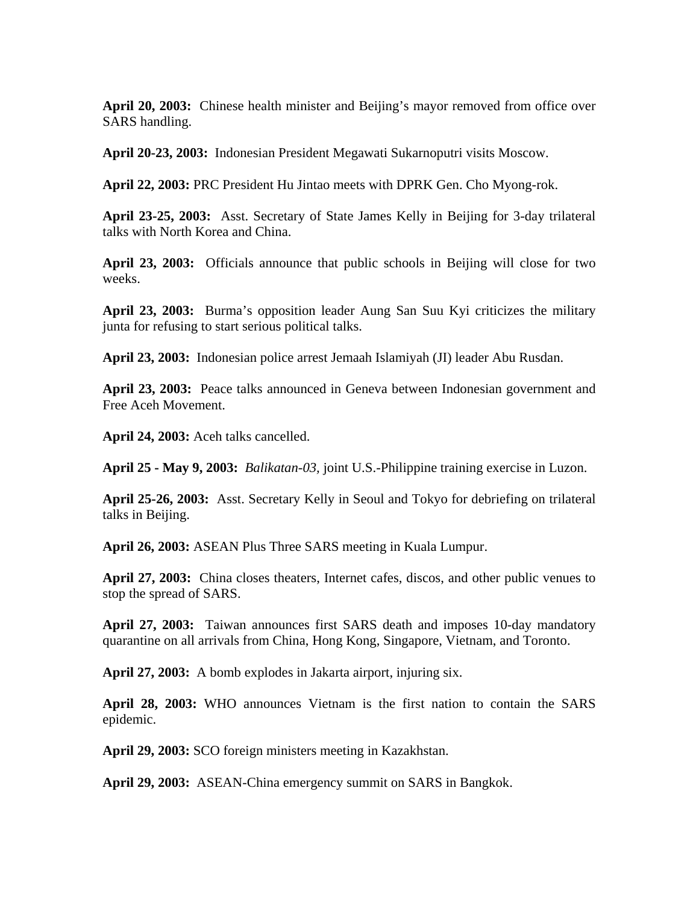**April 20, 2003:** Chinese health minister and Beijing's mayor removed from office over SARS handling.

**April 20-23, 2003:** Indonesian President Megawati Sukarnoputri visits Moscow.

**April 22, 2003:** PRC President Hu Jintao meets with DPRK Gen. Cho Myong-rok.

**April 23-25, 2003:** Asst. Secretary of State James Kelly in Beijing for 3-day trilateral talks with North Korea and China.

**April 23, 2003:** Officials announce that public schools in Beijing will close for two weeks.

**April 23, 2003:** Burma's opposition leader Aung San Suu Kyi criticizes the military junta for refusing to start serious political talks.

**April 23, 2003:** Indonesian police arrest Jemaah Islamiyah (JI) leader Abu Rusdan.

**April 23, 2003:** Peace talks announced in Geneva between Indonesian government and Free Aceh Movement.

**April 24, 2003:** Aceh talks cancelled.

**April 25 - May 9, 2003:** *Balikatan-03,* joint U.S.-Philippine training exercise in Luzon.

**April 25-26, 2003:** Asst. Secretary Kelly in Seoul and Tokyo for debriefing on trilateral talks in Beijing.

**April 26, 2003:** ASEAN Plus Three SARS meeting in Kuala Lumpur.

**April 27, 2003:** China closes theaters, Internet cafes, discos, and other public venues to stop the spread of SARS.

**April 27, 2003:** Taiwan announces first SARS death and imposes 10-day mandatory quarantine on all arrivals from China, Hong Kong, Singapore, Vietnam, and Toronto.

**April 27, 2003:** A bomb explodes in Jakarta airport, injuring six.

**April 28, 2003:** WHO announces Vietnam is the first nation to contain the SARS epidemic.

**April 29, 2003:** SCO foreign ministers meeting in Kazakhstan.

**April 29, 2003:** ASEAN-China emergency summit on SARS in Bangkok.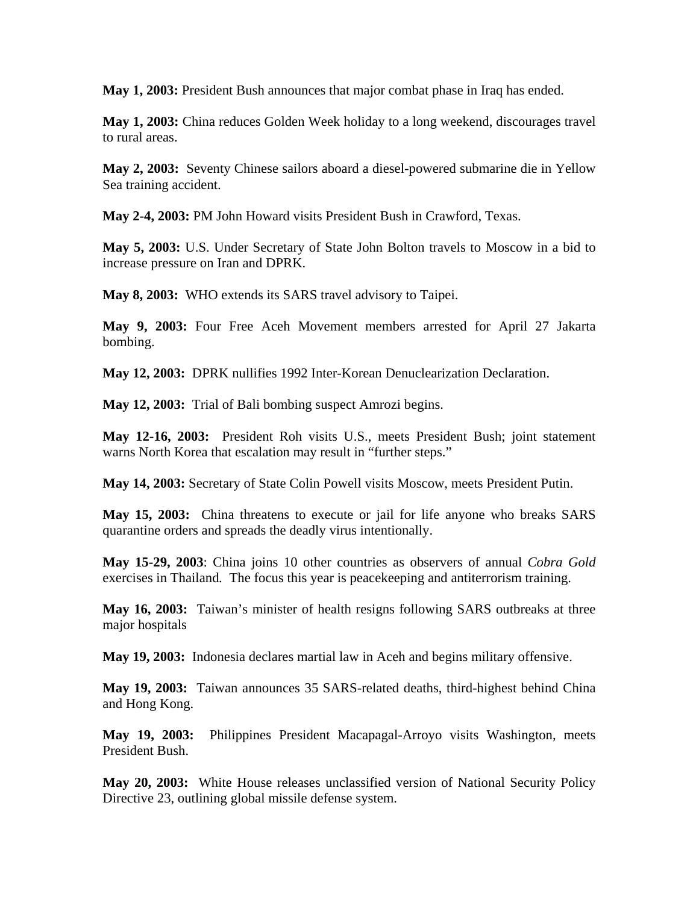**May 1, 2003:** President Bush announces that major combat phase in Iraq has ended.

**May 1, 2003:** China reduces Golden Week holiday to a long weekend, discourages travel to rural areas.

**May 2, 2003:** Seventy Chinese sailors aboard a diesel-powered submarine die in Yellow Sea training accident.

**May 2-4, 2003:** PM John Howard visits President Bush in Crawford, Texas.

**May 5, 2003:** U.S. Under Secretary of State John Bolton travels to Moscow in a bid to increase pressure on Iran and DPRK.

**May 8, 2003:** WHO extends its SARS travel advisory to Taipei.

**May 9, 2003:** Four Free Aceh Movement members arrested for April 27 Jakarta bombing.

**May 12, 2003:** DPRK nullifies 1992 Inter-Korean Denuclearization Declaration.

**May 12, 2003:** Trial of Bali bombing suspect Amrozi begins.

**May 12-16, 2003:** President Roh visits U.S., meets President Bush; joint statement warns North Korea that escalation may result in "further steps."

**May 14, 2003:** Secretary of State Colin Powell visits Moscow, meets President Putin.

**May 15, 2003:** China threatens to execute or jail for life anyone who breaks SARS quarantine orders and spreads the deadly virus intentionally.

**May 15-29, 2003**: China joins 10 other countries as observers of annual *Cobra Gold*  exercises in Thailand*.* The focus this year is peacekeeping and antiterrorism training.

**May 16, 2003:** Taiwan's minister of health resigns following SARS outbreaks at three major hospitals

**May 19, 2003:** Indonesia declares martial law in Aceh and begins military offensive.

**May 19, 2003:** Taiwan announces 35 SARS-related deaths, third-highest behind China and Hong Kong.

**May 19, 2003:** Philippines President Macapagal-Arroyo visits Washington, meets President Bush.

**May 20, 2003:** White House releases unclassified version of National Security Policy Directive 23, outlining global missile defense system.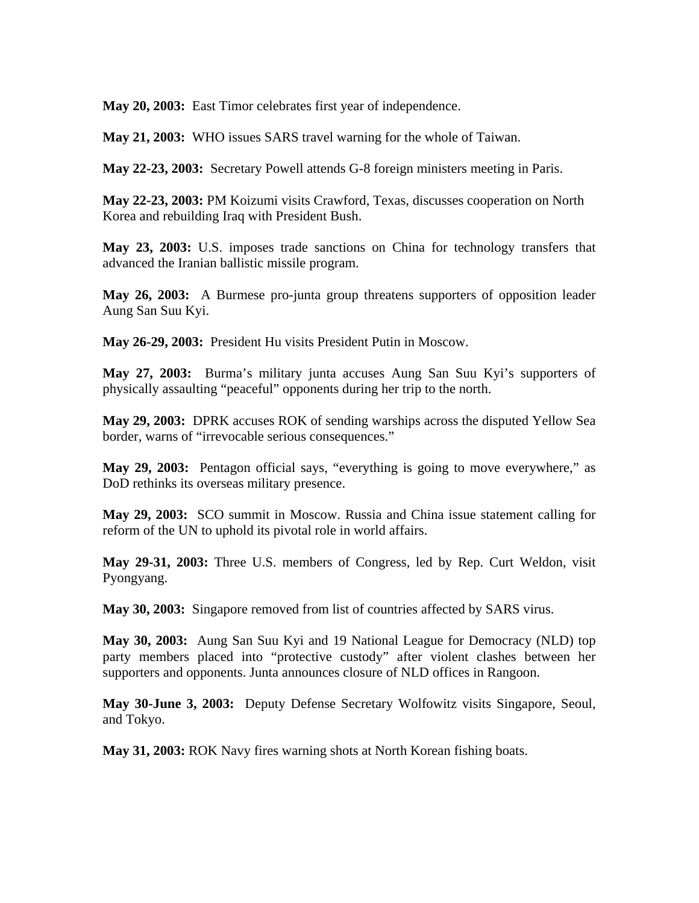**May 20, 2003:** East Timor celebrates first year of independence.

**May 21, 2003:** WHO issues SARS travel warning for the whole of Taiwan.

**May 22-23, 2003:** Secretary Powell attends G-8 foreign ministers meeting in Paris.

**May 22-23, 2003:** PM Koizumi visits Crawford, Texas, discusses cooperation on North Korea and rebuilding Iraq with President Bush.

**May 23, 2003:** U.S. imposes trade sanctions on China for technology transfers that advanced the Iranian ballistic missile program.

**May 26, 2003:** A Burmese pro-junta group threatens supporters of opposition leader Aung San Suu Kyi.

**May 26-29, 2003:** President Hu visits President Putin in Moscow.

**May 27, 2003:** Burma's military junta accuses Aung San Suu Kyi's supporters of physically assaulting "peaceful" opponents during her trip to the north.

**May 29, 2003:** DPRK accuses ROK of sending warships across the disputed Yellow Sea border, warns of "irrevocable serious consequences."

**May 29, 2003:** Pentagon official says, "everything is going to move everywhere," as DoD rethinks its overseas military presence.

**May 29, 2003:** SCO summit in Moscow. Russia and China issue statement calling for reform of the UN to uphold its pivotal role in world affairs.

**May 29-31, 2003:** Three U.S. members of Congress, led by Rep. Curt Weldon, visit Pyongyang.

**May 30, 2003:** Singapore removed from list of countries affected by SARS virus.

**May 30, 2003:** Aung San Suu Kyi and 19 National League for Democracy (NLD) top party members placed into "protective custody" after violent clashes between her supporters and opponents. Junta announces closure of NLD offices in Rangoon.

**May 30-June 3, 2003:** Deputy Defense Secretary Wolfowitz visits Singapore, Seoul, and Tokyo.

**May 31, 2003:** ROK Navy fires warning shots at North Korean fishing boats.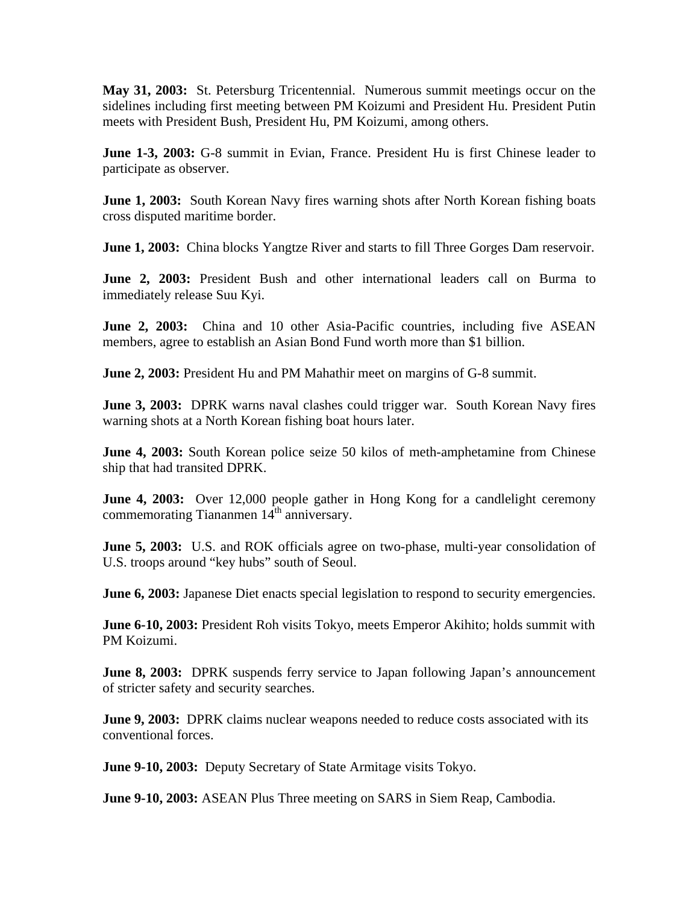**May 31, 2003:** St. Petersburg Tricentennial. Numerous summit meetings occur on the sidelines including first meeting between PM Koizumi and President Hu. President Putin meets with President Bush, President Hu, PM Koizumi, among others.

**June 1-3, 2003:** G-8 summit in Evian, France. President Hu is first Chinese leader to participate as observer.

**June 1, 2003:** South Korean Navy fires warning shots after North Korean fishing boats cross disputed maritime border.

**June 1, 2003:** China blocks Yangtze River and starts to fill Three Gorges Dam reservoir.

**June 2, 2003:** President Bush and other international leaders call on Burma to immediately release Suu Kyi.

**June 2, 2003:** China and 10 other Asia-Pacific countries, including five ASEAN members, agree to establish an Asian Bond Fund worth more than \$1 billion.

**June 2, 2003:** President Hu and PM Mahathir meet on margins of G-8 summit.

**June 3, 2003:** DPRK warns naval clashes could trigger war. South Korean Navy fires warning shots at a North Korean fishing boat hours later.

**June 4, 2003:** South Korean police seize 50 kilos of meth-amphetamine from Chinese ship that had transited DPRK.

**June 4, 2003:** Over 12,000 people gather in Hong Kong for a candlelight ceremony commemorating Tiananmen  $14<sup>th</sup>$  anniversary.

**June 5, 2003:** U.S. and ROK officials agree on two-phase, multi-year consolidation of U.S. troops around "key hubs" south of Seoul.

**June 6, 2003:** Japanese Diet enacts special legislation to respond to security emergencies.

**June 6-10, 2003:** President Roh visits Tokyo, meets Emperor Akihito; holds summit with PM Koizumi.

**June 8, 2003:** DPRK suspends ferry service to Japan following Japan's announcement of stricter safety and security searches.

**June 9, 2003:** DPRK claims nuclear weapons needed to reduce costs associated with its conventional forces.

**June 9-10, 2003:** Deputy Secretary of State Armitage visits Tokyo.

**June 9-10, 2003:** ASEAN Plus Three meeting on SARS in Siem Reap, Cambodia.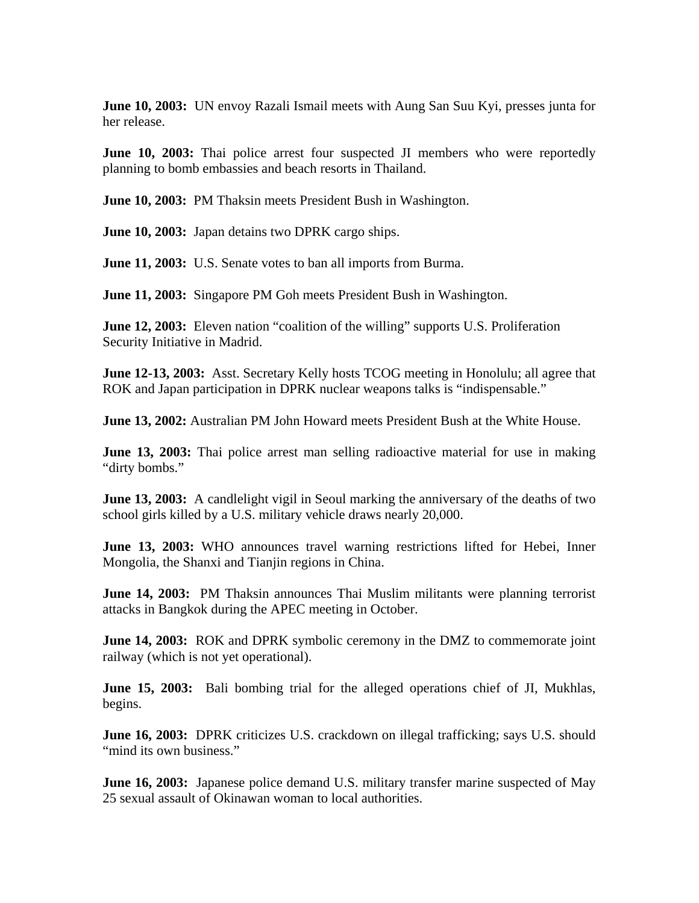**June 10, 2003:** UN envoy Razali Ismail meets with Aung San Suu Kyi, presses junta for her release.

**June 10, 2003:** Thai police arrest four suspected JI members who were reportedly planning to bomb embassies and beach resorts in Thailand.

**June 10, 2003:** PM Thaksin meets President Bush in Washington.

**June 10, 2003:** Japan detains two DPRK cargo ships.

**June 11, 2003:** U.S. Senate votes to ban all imports from Burma.

**June 11, 2003:** Singapore PM Goh meets President Bush in Washington.

**June 12, 2003:** Eleven nation "coalition of the willing" supports U.S. Proliferation Security Initiative in Madrid.

**June 12-13, 2003:** Asst. Secretary Kelly hosts TCOG meeting in Honolulu; all agree that ROK and Japan participation in DPRK nuclear weapons talks is "indispensable."

**June 13, 2002:** Australian PM John Howard meets President Bush at the White House.

**June 13, 2003:** Thai police arrest man selling radioactive material for use in making "dirty bombs."

**June 13, 2003:** A candlelight vigil in Seoul marking the anniversary of the deaths of two school girls killed by a U.S. military vehicle draws nearly 20,000.

**June 13, 2003:** WHO announces travel warning restrictions lifted for Hebei, Inner Mongolia, the Shanxi and Tianjin regions in China.

**June 14, 2003:** PM Thaksin announces Thai Muslim militants were planning terrorist attacks in Bangkok during the APEC meeting in October.

**June 14, 2003:** ROK and DPRK symbolic ceremony in the DMZ to commemorate joint railway (which is not yet operational).

**June 15, 2003:** Bali bombing trial for the alleged operations chief of JI, Mukhlas, begins.

**June 16, 2003:** DPRK criticizes U.S. crackdown on illegal trafficking; says U.S. should "mind its own business."

**June 16, 2003:** Japanese police demand U.S. military transfer marine suspected of May 25 sexual assault of Okinawan woman to local authorities.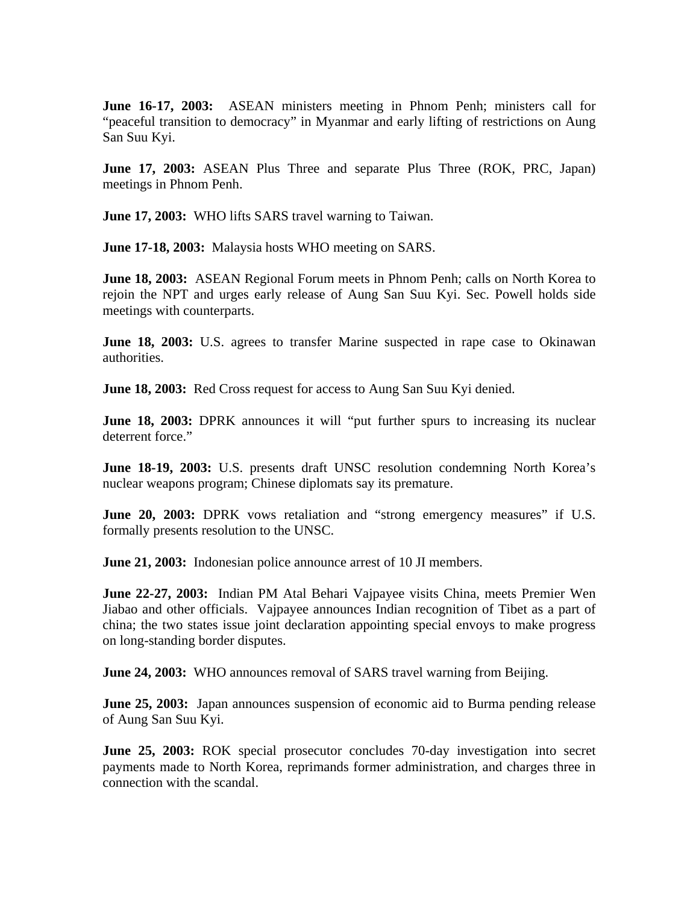**June 16-17, 2003:** ASEAN ministers meeting in Phnom Penh; ministers call for "peaceful transition to democracy" in Myanmar and early lifting of restrictions on Aung San Suu Kyi.

**June 17, 2003:** ASEAN Plus Three and separate Plus Three (ROK, PRC, Japan) meetings in Phnom Penh.

**June 17, 2003:** WHO lifts SARS travel warning to Taiwan.

**June 17-18, 2003:** Malaysia hosts WHO meeting on SARS.

**June 18, 2003:** ASEAN Regional Forum meets in Phnom Penh; calls on North Korea to rejoin the NPT and urges early release of Aung San Suu Kyi. Sec. Powell holds side meetings with counterparts.

**June 18, 2003:** U.S. agrees to transfer Marine suspected in rape case to Okinawan authorities.

**June 18, 2003:** Red Cross request for access to Aung San Suu Kyi denied.

**June 18, 2003:** DPRK announces it will "put further spurs to increasing its nuclear deterrent force."

**June 18-19, 2003:** U.S. presents draft UNSC resolution condemning North Korea's nuclear weapons program; Chinese diplomats say its premature.

**June 20, 2003:** DPRK vows retaliation and "strong emergency measures" if U.S. formally presents resolution to the UNSC.

**June 21, 2003:** Indonesian police announce arrest of 10 JI members.

**June 22-27, 2003:** Indian PM Atal Behari Vajpayee visits China, meets Premier Wen Jiabao and other officials. Vajpayee announces Indian recognition of Tibet as a part of china; the two states issue joint declaration appointing special envoys to make progress on long-standing border disputes.

**June 24, 2003:** WHO announces removal of SARS travel warning from Beijing.

**June 25, 2003:** Japan announces suspension of economic aid to Burma pending release of Aung San Suu Kyi.

**June 25, 2003:** ROK special prosecutor concludes 70-day investigation into secret payments made to North Korea, reprimands former administration, and charges three in connection with the scandal.